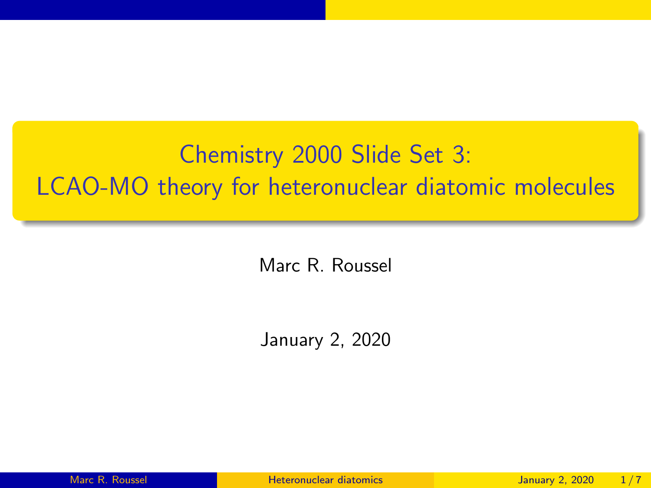# <span id="page-0-0"></span>Chemistry 2000 Slide Set 3: LCAO-MO theory for heteronuclear diatomic molecules

Marc R. Roussel

January 2, 2020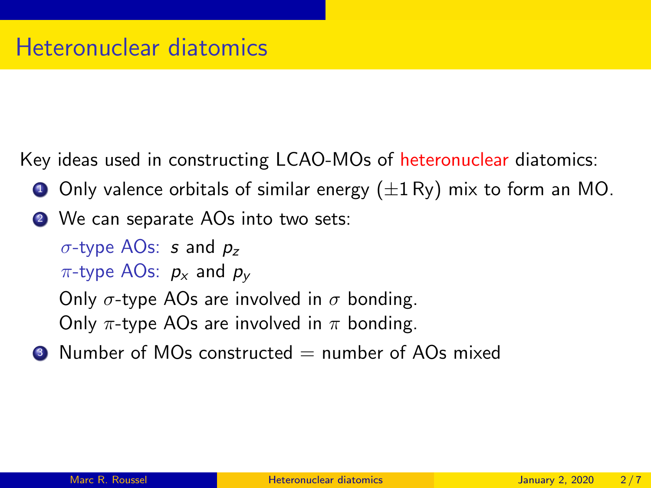Key ideas used in constructing LCAO-MOs of heteronuclear diatomics:

- **1** Only valence orbitals of similar energy  $(\pm 1 \text{ Ry})$  mix to form an MO.
- 2 We can separate AOs into two sets:

 $\sigma$ -type AOs: s and  $p_{z}$ 

 $\pi$ -type AOs:  $p_x$  and  $p_y$ 

Only  $\sigma$ -type AOs are involved in  $\sigma$  bonding. Only  $\pi$ -type AOs are involved in  $\pi$  bonding.

 $\bullet$  Number of MOs constructed  $=$  number of AOs mixed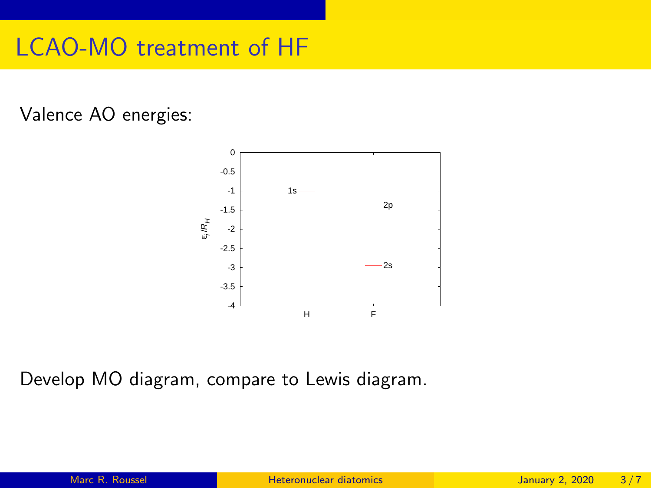#### LCAO-MO treatment of HF

#### Valence AO energies:



Develop MO diagram, compare to Lewis diagram.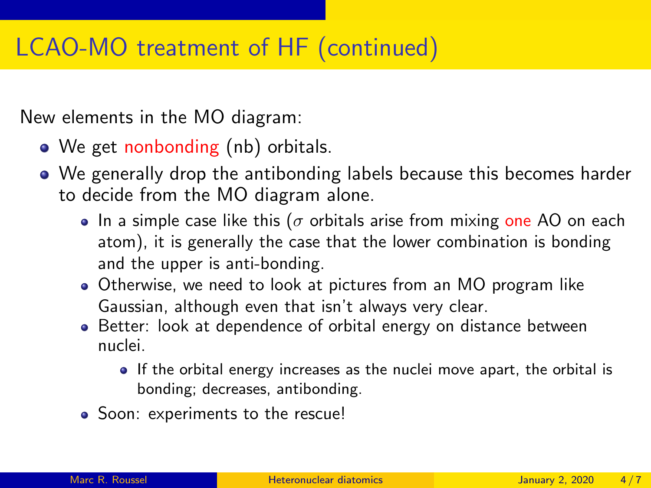## LCAO-MO treatment of HF (continued)

New elements in the MO diagram:

- We get nonbonding (nb) orbitals.
- We generally drop the antibonding labels because this becomes harder to decide from the MO diagram alone.
	- In a simple case like this ( $\sigma$  orbitals arise from mixing one AO on each atom), it is generally the case that the lower combination is bonding and the upper is anti-bonding.
	- Otherwise, we need to look at pictures from an MO program like Gaussian, although even that isn't always very clear.
	- Better: look at dependence of orbital energy on distance between nuclei.
		- If the orbital energy increases as the nuclei move apart, the orbital is bonding; decreases, antibonding.
	- Soon: experiments to the rescue!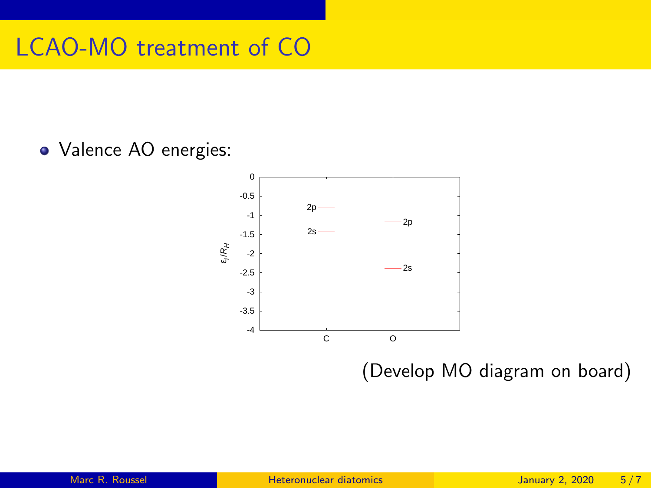# LCAO-MO treatment of CO

Valence AO energies:



(Develop MO diagram on board)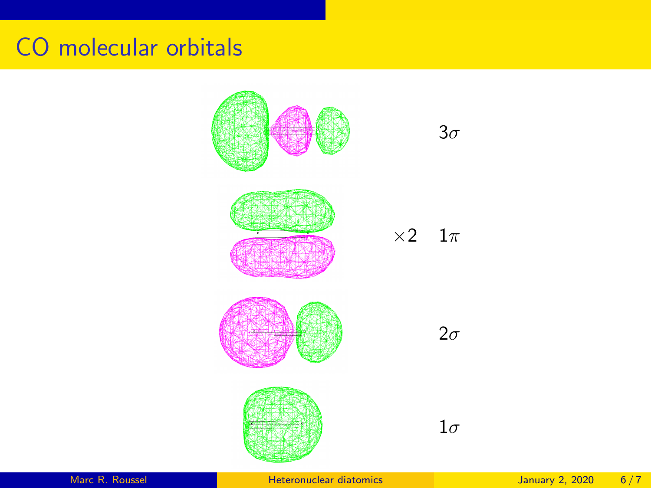#### CO molecular orbitals